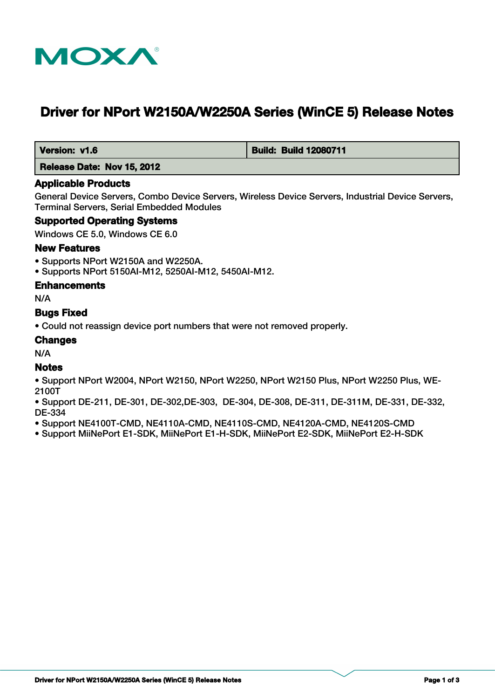

# **Driver for NPort W2150A/W2250A Series (WinCE 5) Release Notes**

 **Version: v1.6 Build: Build: Build 12080711** 

 **Release Date: Nov 15, 2012**

#### **Applicable Products**

General Device Servers, Combo Device Servers, Wireless Device Servers, Industrial Device Servers, Terminal Servers, Serial Embedded Modules

#### **Supported Operating Systems**

Windows CE 5.0, Windows CE 6.0

#### **New Features**

- Supports NPort W2150A and W2250A.
- Supports NPort 5150AI-M12, 5250AI-M12, 5450AI-M12.

#### **Enhancements**

N/A

#### **Bugs Fixed**

• Could not reassign device port numbers that were not removed properly.

#### **Changes**

N/A

#### **Notes**

- Support NPort W2004, NPort W2150, NPort W2250, NPort W2150 Plus, NPort W2250 Plus, WE-2100T
- Support DE-211, DE-301, DE-302,DE-303, DE-304, DE-308, DE-311, DE-311M, DE-331, DE-332, DE-334
- Support NE4100T-CMD, NE4110A-CMD, NE4110S-CMD, NE4120A-CMD, NE4120S-CMD
- Support MiiNePort E1-SDK, MiiNePort E1-H-SDK, MiiNePort E2-SDK, MiiNePort E2-H-SDK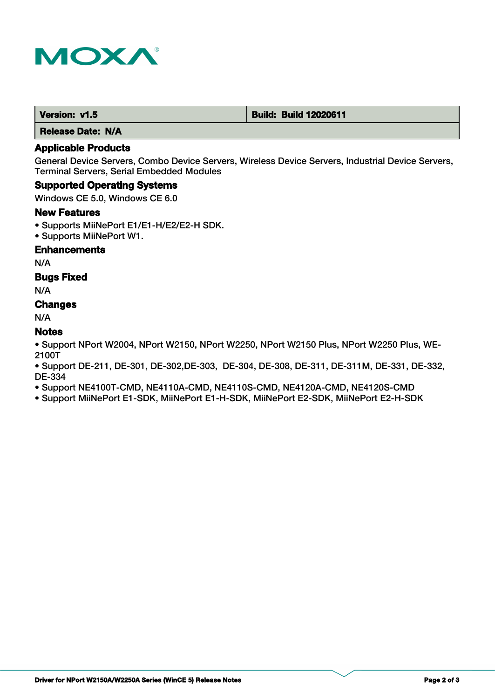

 **Release Date: N/A**

### **Applicable Products**

General Device Servers, Combo Device Servers, Wireless Device Servers, Industrial Device Servers, Terminal Servers, Serial Embedded Modules

#### **Supported Operating Systems**

Windows CE 5.0, Windows CE 6.0

#### **New Features**

- Supports MiiNePort E1/E1-H/E2/E2-H SDK.
- Supports MiiNePort W1.

#### **Enhancements**

N/A

#### **Bugs Fixed**

N/A

# **Changes**

N/A

### **Notes**

• Support NPort W2004, NPort W2150, NPort W2250, NPort W2150 Plus, NPort W2250 Plus, WE-2100T

• Support DE-211, DE-301, DE-302,DE-303, DE-304, DE-308, DE-311, DE-311M, DE-331, DE-332, DE-334

• Support NE4100T-CMD, NE4110A-CMD, NE4110S-CMD, NE4120A-CMD, NE4120S-CMD

• Support MiiNePort E1-SDK, MiiNePort E1-H-SDK, MiiNePort E2-SDK, MiiNePort E2-H-SDK